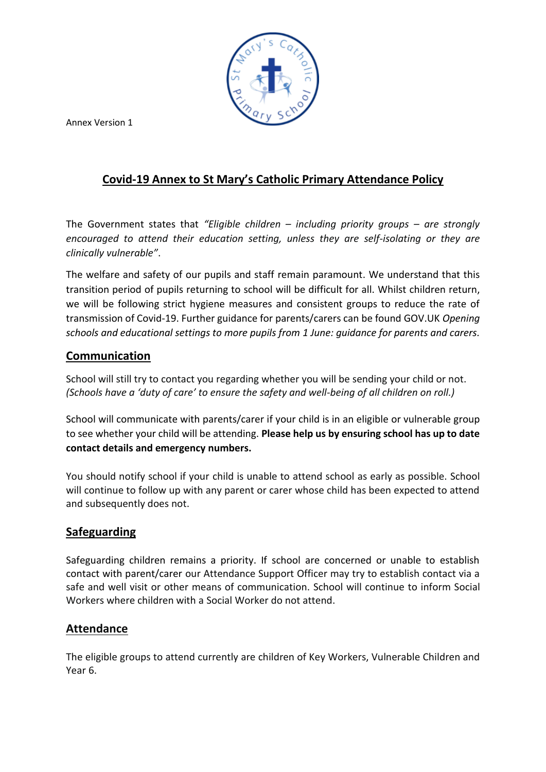

Annex Version 1

# **Covid-19 Annex to St Mary's Catholic Primary Attendance Policy**

The Government states that *"Eligible children – including priority groups – are strongly encouraged to attend their education setting, unless they are self-isolating or they are clinically vulnerable"*.

The welfare and safety of our pupils and staff remain paramount. We understand that this transition period of pupils returning to school will be difficult for all. Whilst children return, we will be following strict hygiene measures and consistent groups to reduce the rate of transmission of Covid-19. Further guidance for parents/carers can be found GOV.UK *Opening schools and educational settings to more pupils from 1 June: guidance for parents and carers.*

## **Communication**

School will still try to contact you regarding whether you will be sending your child or not. *(Schools have a 'duty of care' to ensure the safety and well-being of all children on roll.)*

School will communicate with parents/carer if your child is in an eligible or vulnerable group to see whether your child will be attending. **Please help us by ensuring school has up to date contact details and emergency numbers.**

You should notify school if your child is unable to attend school as early as possible. School will continue to follow up with any parent or carer whose child has been expected to attend and subsequently does not.

### **Safeguarding**

Safeguarding children remains a priority. If school are concerned or unable to establish contact with parent/carer our Attendance Support Officer may try to establish contact via a safe and well visit or other means of communication. School will continue to inform Social Workers where children with a Social Worker do not attend.

### **Attendance**

The eligible groups to attend currently are children of Key Workers, Vulnerable Children and Year 6.